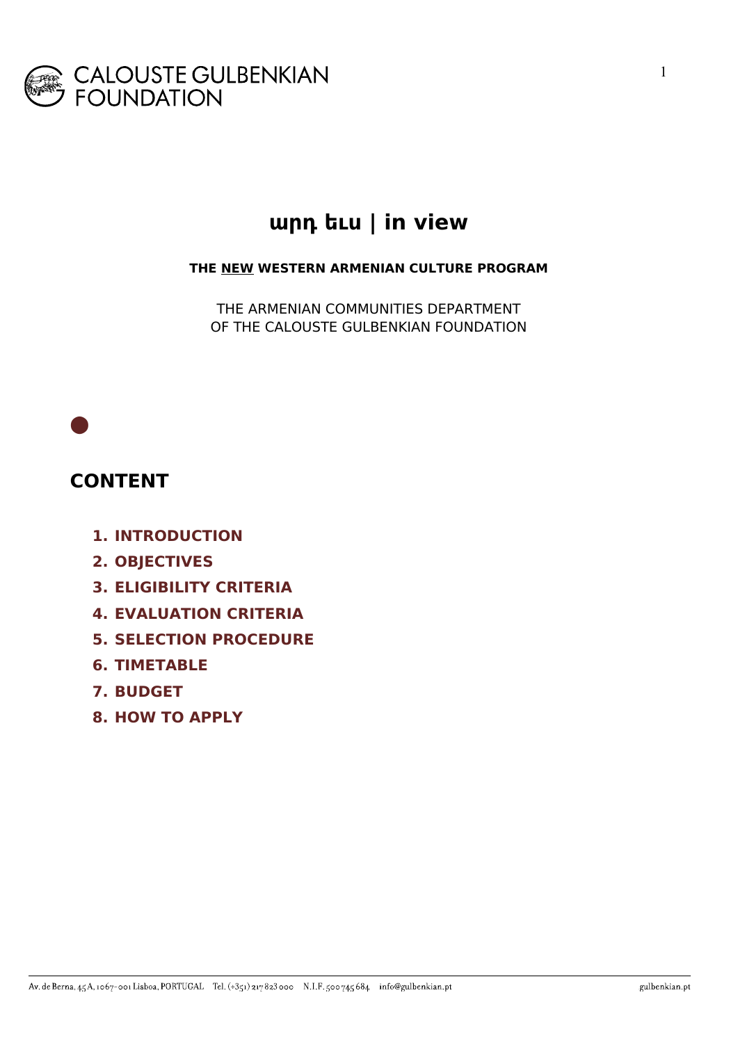

# **արդ եւս | in view**

**THE NEW WESTERN ARMENIAN CULTURE PROGRAM**

THE ARMENIAN COMMUNITIES DEPARTMENT OF THE CALOUSTE GULBENKIAN FOUNDATION

### **CONTENT**

**⬤**

- **1. INTRODUCTION**
- **2. OBJECTIVES**
- **3. ELIGIBILITY CRITERIA**
- **4. EVALUATION CRITERIA**
- **5. SELECTION PROCEDURE**
- **6. TIMETABLE**
- **7. BUDGET**
- **8. HOW TO APPLY**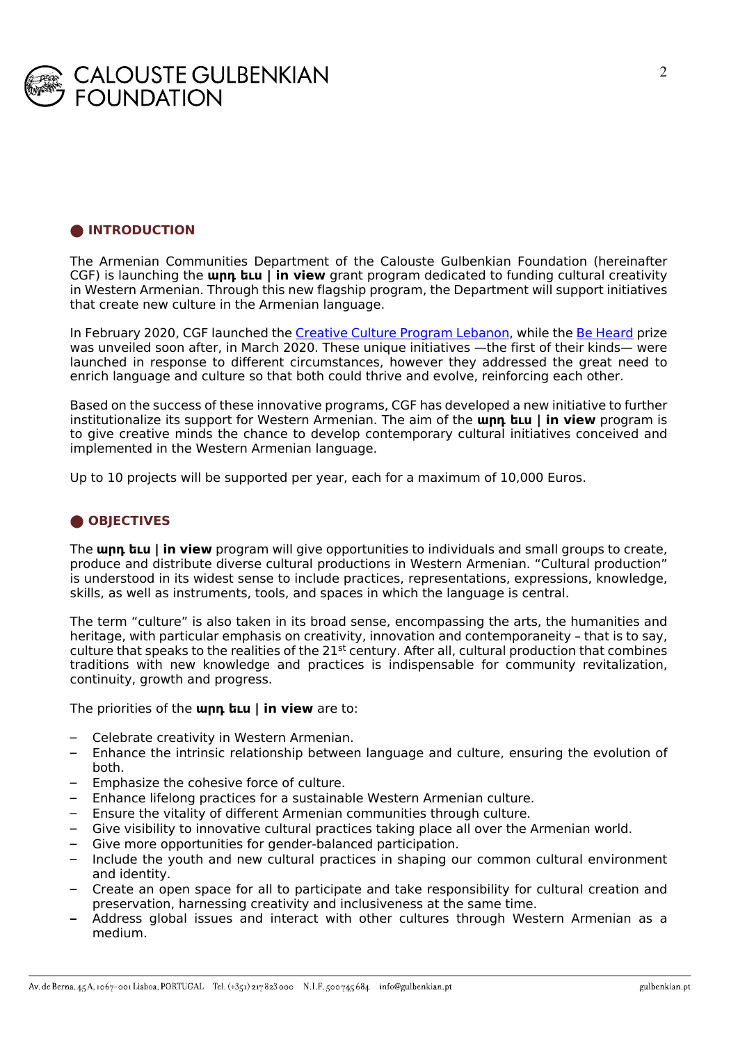

#### **⬤ INTRODUCTION**

The Armenian Communities Department of the Calouste Gulbenkian Foundation (hereinafter CGF) is launching the **արդ եւս | in view** grant program dedicated to funding cultural creativity in Western Armenian. Through this new flagship program, the Department will support initiatives that create new culture in the Armenian language.

In February 2020, CGF launched the Creative Culture Program Lebanon, while the Be Heard prize was unveiled soon after, in March 2020. These unique initiatives —the first of their kinds— were launched in response to different circumstances, however they addressed the great need to enrich language and culture so that both could thrive and evolve, reinforcing each other.

Based on the success of these innovative programs, CGF has developed a new initiative to further institutionalize its support for Western Armenian. The aim of the **արդ եւս | in view** program is to give creative minds the chance to develop contemporary cultural initiatives conceived and implemented in the Western Armenian language.

Up to 10 projects will be supported per year, each for a maximum of 10,000 Euros.

#### **⬤ OBJECTIVES**

The **արդ եւս | in view** program will give opportunities to individuals and small groups to create, produce and distribute diverse cultural productions in Western Armenian. "Cultural production" is understood in its widest sense to include practices, representations, expressions, knowledge, skills, as well as instruments, tools, and spaces in which the language is central.

The term "culture" is also taken in its broad sense, encompassing the arts, the humanities and heritage, with particular emphasis on creativity, innovation and contemporaneity – that is to say, culture that speaks to the realities of the  $21^{st}$  century. After all, cultural production that combines traditions with new knowledge and practices is indispensable for community revitalization, continuity, growth and progress.

The priorities of the **արդ եւս | in view** are to:

- Celebrate creativity in Western Armenian.
- Enhance the intrinsic relationship between language and culture, ensuring the evolution of both.
- Emphasize the cohesive force of culture.
- Enhance lifelong practices for a sustainable Western Armenian culture.
- Ensure the vitality of different Armenian communities through culture.
- Give visibility to innovative cultural practices taking place all over the Armenian world.
- Give more opportunities for gender-balanced participation.
- Include the youth and new cultural practices in shaping our common cultural environment and identity.
- Create an open space for all to participate and take responsibility for cultural creation and preservation, harnessing creativity and inclusiveness at the same time.
- Address global issues and interact with other cultures through Western Armenian as a medium.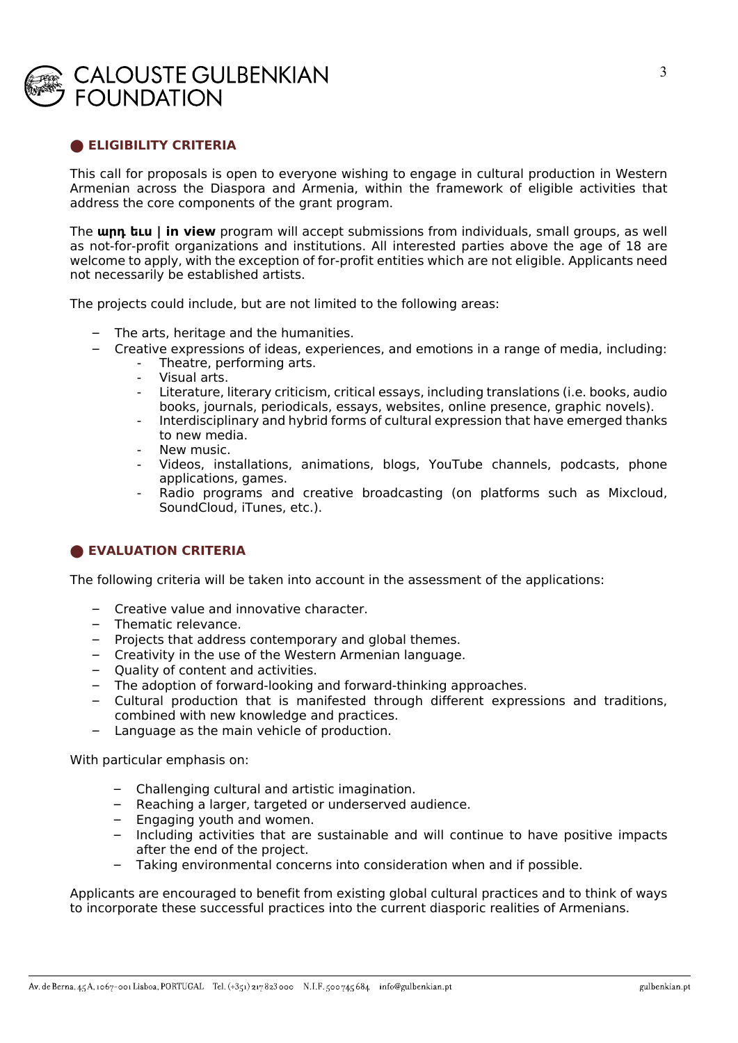## **CALOUSTE GULBENKIAN FOUNDATION**

#### **⬤ ELIGIBILITY CRITERIA**

This call for proposals is open to everyone wishing to engage in cultural production in Western Armenian across the Diaspora and Armenia, within the framework of eligible activities that address the core components of the grant program.

The **արդ եւս | in view** program will accept submissions from individuals, small groups, as well as not-for-profit organizations and institutions. All interested parties above the age of 18 are welcome to apply, with the exception of for-profit entities which are not eligible. Applicants need not necessarily be established artists.

The projects could include, but are not limited to the following areas:

- The arts, heritage and the humanities.
- Creative expressions of ideas, experiences, and emotions in a range of media, including:
	- Theatre, performing arts.
	- Visual arts.
	- Literature, literary criticism, critical essays, including translations (i.e. books, audio books, journals, periodicals, essays, websites, online presence, graphic novels).
	- Interdisciplinary and hybrid forms of cultural expression that have emerged thanks to new media.
	- New music.
	- Videos, installations, animations, blogs, YouTube channels, podcasts, phone applications, games.
	- Radio programs and creative broadcasting (on platforms such as Mixcloud, SoundCloud, iTunes, etc.).

#### $\bullet$  **EVALUATION CRITERIA**

The following criteria will be taken into account in the assessment of the applications:

- Creative value and innovative character.
- Thematic relevance.
- Projects that address contemporary and global themes.
- Creativity in the use of the Western Armenian language.
- Quality of content and activities.
- The adoption of forward-looking and forward-thinking approaches.
- Cultural production that is manifested through different expressions and traditions, combined with new knowledge and practices.
- Language as the main vehicle of production.

With particular emphasis on:

- Challenging cultural and artistic imagination.
- Reaching a larger, targeted or underserved audience.
- Engaging youth and women.
- Including activities that are sustainable and will continue to have positive impacts after the end of the project.
- Taking environmental concerns into consideration when and if possible.

Applicants are encouraged to benefit from existing global cultural practices and to think of ways to incorporate these successful practices into the current diasporic realities of Armenians.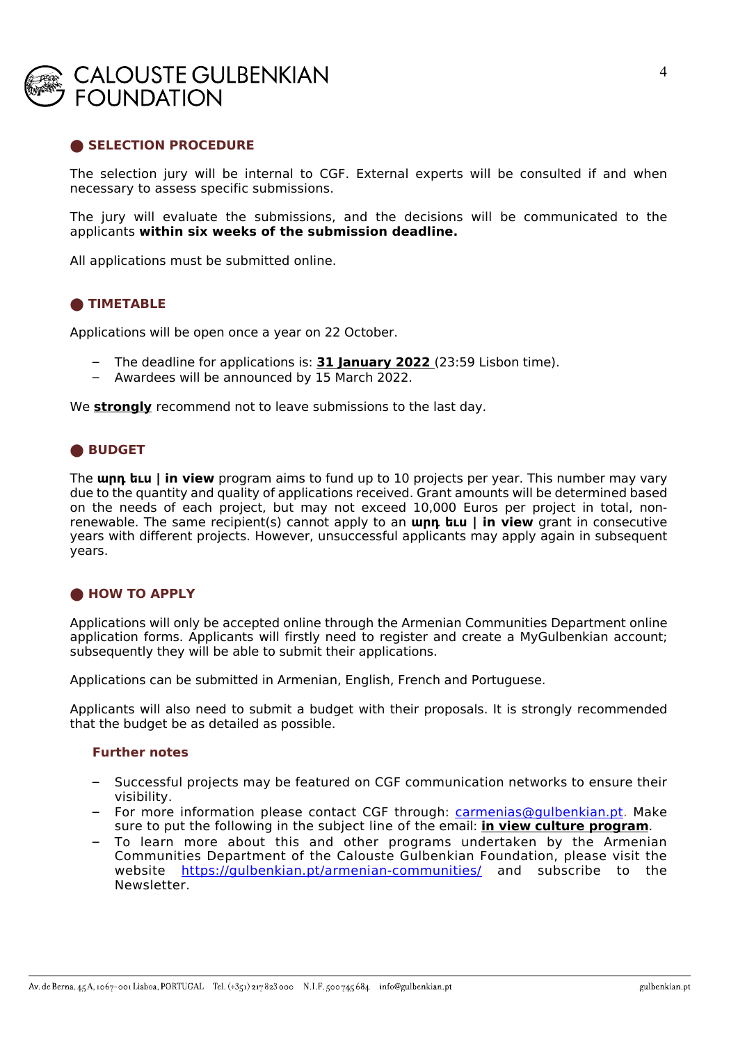

#### **SELECTION PROCEDURE**

The selection jury will be internal to CGF. External experts will be consulted if and when necessary to assess specific submissions.

The jury will evaluate the submissions, and the decisions will be communicated to the applicants **within six weeks of the submission deadline.**

All applications must be submitted online.

#### **⬤ TIMETABLE**

Applications will be open once a year on 22 October.

- The deadline for applications is: **31 January 2022** (23:59 Lisbon time).
- Awardees will be announced by 15 March 2022.

We **strongly** recommend not to leave submissions to the last day.

#### **⬤ BUDGET**

The **արդ եւս | in view** program aims to fund up to 10 projects per year. This number may vary due to the quantity and quality of applications received. Grant amounts will be determined based on the needs of each project, but may not exceed 10,000 Euros per project in total, nonrenewable. The same recipient(s) cannot apply to an **արդ եւս | in view** grant in consecutive years with different projects. However, unsuccessful applicants may apply again in subsequent years.

#### **⬤ HOW TO APPLY**

Applications will only be accepted online through the Armenian Communities Department online application forms. Applicants will firstly need to register and create a MyGulbenkian account; subsequently they will be able to submit their applications.

Applications can be submitted in Armenian, English, French and Portuguese.

Applicants will also need to submit a budget with their proposals. It is strongly recommended that the budget be as detailed as possible.

#### **Further notes**

- Successful projects may be featured on CGF communication networks to ensure their visibility.
- For more information please contact CGF through: carmenias@gulbenkian.pt. Make sure to put the following in the subject line of the email: **in view culture program**.
- To learn more about this and other programs undertaken by the Armenian Communities Department of the Calouste Gulbenkian Foundation, please visit the website https://gulbenkian.pt/armenian-communities/ and subscribe to the Newsletter.